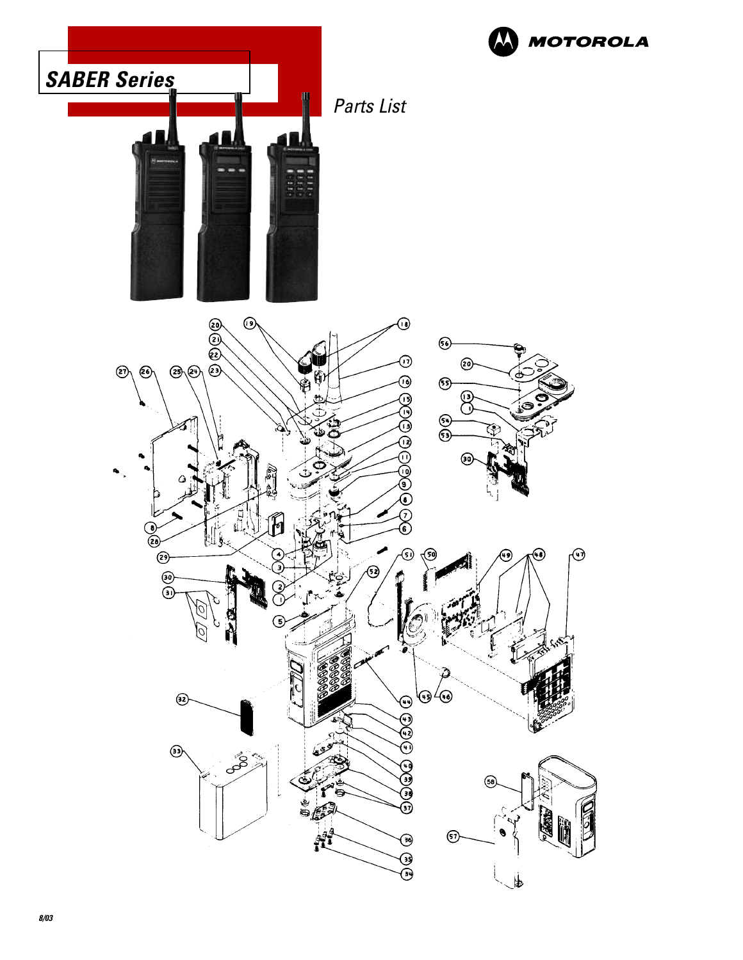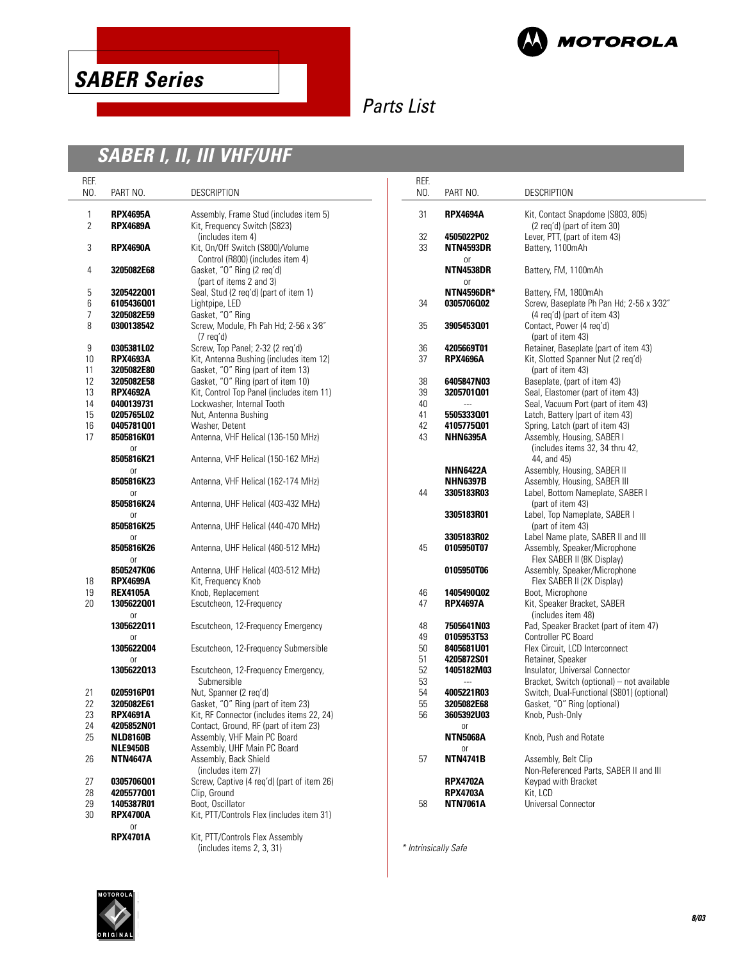



# **SABER I, II, III VHF/UHF**

| REF.                |                                    |                                                                               | REF.                 |                                                                   |                                                                     |
|---------------------|------------------------------------|-------------------------------------------------------------------------------|----------------------|-------------------------------------------------------------------|---------------------------------------------------------------------|
| NO.                 | PART NO.                           | <b>DESCRIPTION</b>                                                            | NO.                  | PART NO.                                                          | DESCRIPTION                                                         |
| 1<br>$\overline{2}$ | <b>RPX4695A</b><br><b>RPX4689A</b> | Assembly, Frame Stud (includes item 5)<br>Kit, Frequency Switch (S823)        | 31                   | <b>RPX4694A</b>                                                   | Kit, Contact Snapdome (S803, 805)<br>(2 reg'd) (part of item 30)    |
|                     |                                    | (includes item 4)                                                             | 32                   | 4505022P02                                                        | Lever, PTT, (part of item 43)                                       |
| 3                   | <b>RPX4690A</b>                    | Kit, On/Off Switch (S800)/Volume                                              | 33                   | <b>NTN4593DR</b>                                                  | Battery, 1100mAh                                                    |
|                     |                                    | Control (R800) (includes item 4)                                              |                      | or                                                                |                                                                     |
| 4                   | 3205082E68                         | Gasket, "O" Ring (2 req'd)<br>(part of items 2 and 3)                         |                      | <b>NTN4538DR</b><br>or                                            | Battery, FM, 1100mAh                                                |
| 5                   | 3205422001                         | Seal, Stud (2 reg'd) (part of item 1)                                         |                      | <b>NTN4596DR*</b>                                                 | Battery, FM, 1800mAh                                                |
| 6                   | 6105436001                         | Lightpipe, LED                                                                | 34                   | 0305706002                                                        | Screw, Baseplate Ph Pan Hd; 2-56 x 3/32"                            |
| 7                   | 3205082E59                         | Gasket, "O" Ring                                                              |                      |                                                                   | (4 reg'd) (part of item 43)                                         |
| 8                   | 0300138542                         | Screw, Module, Ph Pah Hd; 2-56 x 3/8"<br>$(7 \text{ req'}d)$                  |                      | Contact, Power (4 req'd)<br>35<br>3905453001<br>(part of item 43) |                                                                     |
| 9                   | 0305381L02                         | Screw, Top Panel; 2-32 (2 reg'd)                                              | 36                   | 4205669T01                                                        | Retainer, Baseplate (part of item 43)                               |
| 10<br>11            | <b>RPX4693A</b><br>3205082E80      | Kit, Antenna Bushing (includes item 12)<br>Gasket, "O" Ring (part of item 13) | 37                   | <b>RPX4696A</b>                                                   | Kit, Slotted Spanner Nut (2 req'd)<br>(part of item 43)             |
| 12                  | 3205082E58                         | Gasket, "O" Ring (part of item 10)                                            | 38                   | 6405847N03                                                        | Baseplate, (part of item 43)                                        |
| 13                  | <b>RPX4692A</b>                    | Kit, Control Top Panel (includes item 11)                                     | 39                   | 3205701001                                                        | Seal, Elastomer (part of item 43)                                   |
| 14                  | 0400139731                         | Lockwasher, Internal Tooth                                                    | 40                   | ---                                                               | Seal, Vacuum Port (part of item 43)                                 |
| 15<br>16            | 0205765L02<br>0405781001           | Nut, Antenna Bushing<br>Washer, Detent                                        | 41<br>42             | 5505333001<br>4105775001                                          | Latch, Battery (part of item 43)<br>Spring, Latch (part of item 43) |
| 17                  | 8505816K01                         | Antenna, VHF Helical (136-150 MHz)                                            | 43                   | <b>NHN6395A</b>                                                   | Assembly, Housing, SABER I                                          |
|                     | <sub>0r</sub><br>8505816K21        | Antenna, VHF Helical (150-162 MHz)                                            |                      |                                                                   | (includes items 32, 34 thru 42,<br>44, and 45)                      |
|                     | 0r                                 |                                                                               |                      | <b>NHN6422A</b>                                                   | Assembly, Housing, SABER II                                         |
|                     | 8505816K23                         | Antenna, VHF Helical (162-174 MHz)                                            |                      | <b>NHN6397B</b>                                                   | Assembly, Housing, SABER III                                        |
|                     | 0r                                 |                                                                               | 44                   | 3305183R03                                                        | Label, Bottom Nameplate, SABER I                                    |
|                     | 8505816K24                         | Antenna, UHF Helical (403-432 MHz)                                            |                      |                                                                   | (part of item 43)                                                   |
|                     | 0r<br>8505816K25                   | Antenna, UHF Helical (440-470 MHz)                                            |                      | 3305183R01                                                        | Label, Top Nameplate, SABER I<br>(part of item 43)                  |
|                     | 0r                                 |                                                                               |                      | 3305183R02                                                        | Label Name plate, SABER II and III                                  |
|                     | 8505816K26<br>0r                   | Antenna, UHF Helical (460-512 MHz)                                            | 45                   | 0105950T07                                                        | Assembly, Speaker/Microphone<br>Flex SABER II (8K Display)          |
| 18                  | 8505247K06<br><b>RPX4699A</b>      | Antenna, UHF Helical (403-512 MHz)<br>Kit, Frequency Knob                     |                      | 0105950T06                                                        | Assembly, Speaker/Microphone<br>Flex SABER II (2K Display)          |
| 19                  | <b>REX4105A</b>                    | Knob, Replacement                                                             | 46                   | 1405490002                                                        | Boot, Microphone                                                    |
| 20                  | 1305622001<br>0ľ                   | Escutcheon, 12-Frequency                                                      | 47                   | <b>RPX4697A</b>                                                   | Kit, Speaker Bracket, SABER<br>(includes item 48)                   |
|                     | 1305622011                         | Escutcheon, 12-Frequency Emergency                                            | 48                   | 7505641N03                                                        | Pad, Speaker Bracket (part of item 47)                              |
|                     | <sub>0r</sub>                      |                                                                               | 49                   | 0105953T53                                                        | Controller PC Board                                                 |
|                     | 1305622004                         | Escutcheon, 12-Frequency Submersible                                          | 50                   | 8405681U01                                                        | Flex Circuit, LCD Interconnect                                      |
|                     | <sub>or</sub><br>1305622013        | Escutcheon, 12-Frequency Emergency,                                           | 51<br>52             | 4205872S01<br>1405182M03                                          | Retainer, Speaker<br>Insulator, Universal Connector                 |
|                     |                                    | Submersible                                                                   | 53                   | $\overline{a}$                                                    | Bracket, Switch (optional) - not available                          |
| 21                  | 0205916P01                         | Nut, Spanner (2 req'd)                                                        | 54                   | 4005221R03                                                        | Switch, Dual-Functional (S801) (optional)                           |
| 22                  | 3205082E61                         | Gasket, "O" Ring (part of item 23)                                            | 55                   | 3205082E68                                                        | Gasket, "O" Ring (optional)                                         |
| 23                  | <b>RPX4691A</b>                    | Kit, RF Connector (includes items 22, 24)                                     | 56                   | 3605392U03                                                        | Knob, Push-Only                                                     |
| 24                  | 4205852N01                         | Contact, Ground, RF (part of item 23)                                         |                      | or                                                                |                                                                     |
| 25                  | <b>NLD8160B</b>                    | Assembly, VHF Main PC Board                                                   |                      | <b>NTN5068A</b>                                                   | Knob, Push and Rotate                                               |
|                     | <b>NLE9450B</b>                    | Assembly, UHF Main PC Board                                                   |                      | or                                                                |                                                                     |
| 26                  | <b>NTN4647A</b>                    | Assembly, Back Shield                                                         | 57                   | <b>NTN4741B</b>                                                   | Assembly, Belt Clip                                                 |
| 27                  | 0305706001                         | (includes item 27)<br>Screw, Captive (4 reg'd) (part of item 26)              |                      | <b>RPX4702A</b>                                                   | Non-Referenced Parts, SABER II and III<br>Keypad with Bracket       |
| 28                  | 4205577001                         | Clip, Ground                                                                  |                      | <b>RPX4703A</b>                                                   | Kit, LCD                                                            |
| 29                  | 1405387R01                         | Boot, Oscillator                                                              | 58                   | <b>NTN7061A</b>                                                   | Universal Connector                                                 |
| 30                  | <b>RPX4700A</b>                    | Kit, PTT/Controls Flex (includes item 31)                                     |                      |                                                                   |                                                                     |
|                     | or<br><b>RPX4701A</b>              | Kit, PTT/Controls Flex Assembly                                               |                      |                                                                   |                                                                     |
|                     |                                    | (includes items 2, 3, 31)                                                     | * Intrinsically Safe |                                                                   |                                                                     |

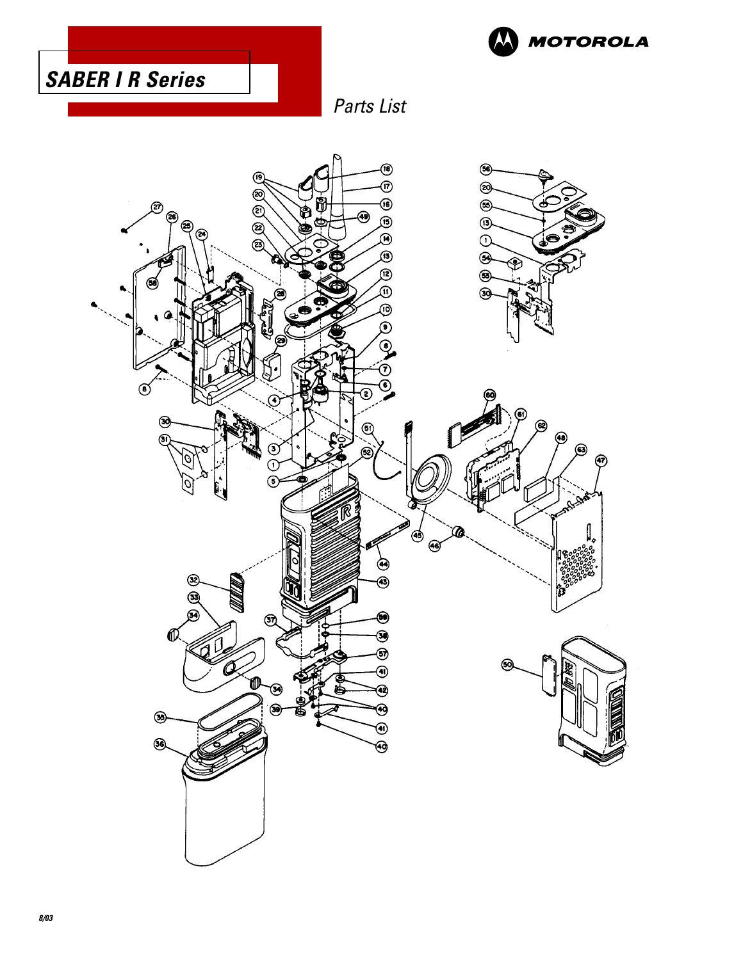



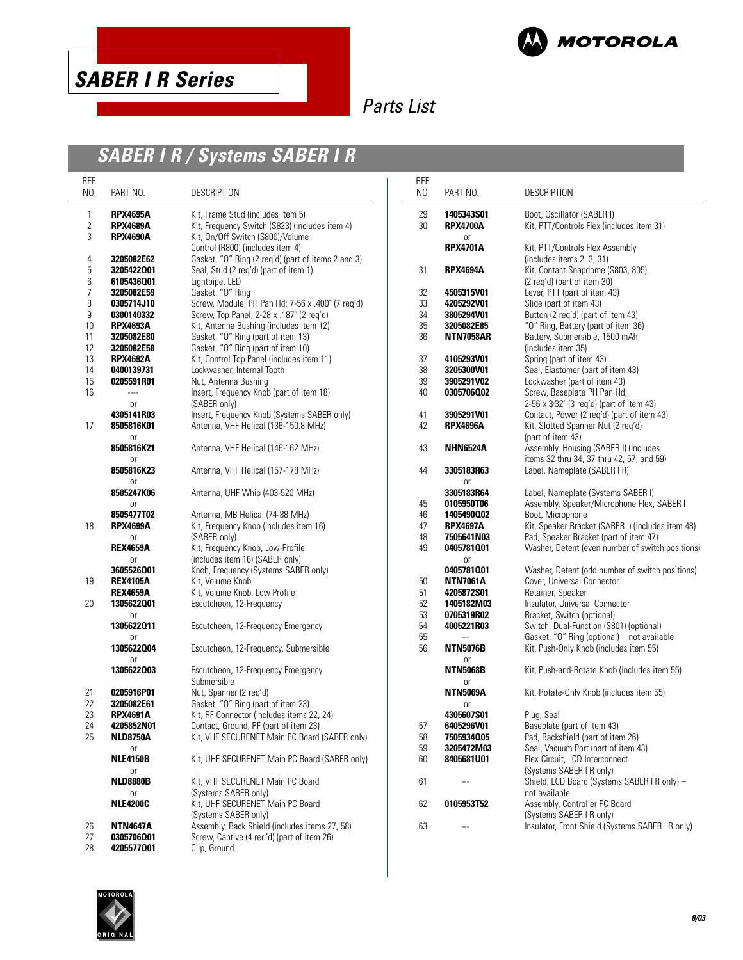



**MOTOROLA** 

# **SABER I R / Systems SABER I R**

| REF.<br>NO.    | PART NO.        | <b>DESCRIPTION</b>                                 | REF.<br>NO. | PART NO.                 | DESCRIPTION                                       |
|----------------|-----------------|----------------------------------------------------|-------------|--------------------------|---------------------------------------------------|
|                |                 |                                                    |             |                          |                                                   |
| 1              | <b>RPX4695A</b> | Kit, Frame Stud (includes item 5)                  | 29          | 1405343S01               | Boot, Oscillator (SABER I)                        |
| $\overline{c}$ | <b>RPX4689A</b> | Kit, Frequency Switch (S823) (includes item 4)     | 30          | <b>RPX4700A</b>          | Kit, PTT/Controls Flex (includes item 31)         |
| 3              | <b>RPX4690A</b> | Kit, On/Off Switch (S800)/Volume                   |             | <b>or</b>                |                                                   |
|                |                 | Control (R800) (includes item 4)                   |             | <b>RPX4701A</b>          | Kit, PTT/Controls Flex Assembly                   |
| 4              | 3205082E62      | Gasket, "O" Ring (2 req'd) (part of items 2 and 3) |             |                          | (includes items 2, 3, 31)                         |
| 5              | 3205422001      | Seal, Stud (2 reg'd) (part of item 1)              | 31          | <b>RPX4694A</b>          | Kit, Contact Snapdome (S803, 805)                 |
| 6              | 6105436001      | Lightpipe, LED                                     |             |                          | (2 reg'd) (part of item 30)                       |
| 7              | 3205082E59      | Gasket, "O" Ring                                   | 32          | 4505315V01               | Lever, PTT (part of item 43)                      |
| 8              | 0305714J10      | Screw, Module, PH Pan Hd; 7-56 x .400" (7 req'd)   | 33          | 4205292V01               | Slide (part of item 43)                           |
| 9              | 0300140332      | Screw, Top Panel; 2-28 x .187" (2 reg'd)           | 34          | 3805294V01               | Button (2 req'd) (part of item 43)                |
| 10             | <b>RPX4693A</b> | Kit, Antenna Bushing (includes item 12)            | 35          | 3205082E85               | "O" Ring, Battery (part of item 36)               |
| 11             | 3205082E80      | Gasket, "O" Ring (part of item 13)                 | 36          | <b>NTN7058AR</b>         | Battery, Submersible, 1500 mAh                    |
| 12             | 3205082E58      | Gasket, "O" Ring (part of item 10)                 |             |                          | (includes item 35)                                |
| 13             | <b>RPX4692A</b> | Kit, Control Top Panel (includes item 11)          | 37          | 4105293V01               | Spring (part of item 43)                          |
| 14             | 0400139731      | Lockwasher, Internal Tooth                         | 38          | 3205300V01               | Seal, Elastomer (part of item 43)                 |
| 15             | 0205591R01      | Nut, Antenna Bushing                               | 39          | 3905291V02               | Lockwasher (part of item 43)                      |
| 16             | $\overline{a}$  | Insert, Frequency Knob (part of item 18)           | 40          | 0305706002               | Screw, Baseplate PH Pan Hd;                       |
|                | 0ľ              | (SABER only)                                       |             |                          | 2-56 x 3/32" (3 reg'd) (part of item 43)          |
|                | 4305141R03      | Insert, Frequency Knob (Systems SABER only)        | 41          | 3905291V01               | Contact, Power (2 reg'd) (part of item 43)        |
| 17             | 8505816K01      | Antenna, VHF Helical (136-150.8 MHz)               | 42          | <b>RPX4696A</b>          | Kit, Slotted Spanner Nut (2 reg'd)                |
|                | 0ľ              |                                                    |             |                          | (part of item 43)                                 |
|                | 8505816K21      | Antenna, VHF Helical (146-162 MHz)                 | 43          | <b>NHN6524A</b>          | Assembly, Housing (SABER I) (includes             |
|                | 0ľ              |                                                    |             |                          | items 32 thru 34, 37 thru 42, 57, and 59)         |
|                | 8505816K23      | Antenna, VHF Helical (157-178 MHz)                 | 44          | 3305183R63               | Label, Nameplate (SABER I R)                      |
|                | 0ľ              |                                                    |             | <sub>or</sub>            |                                                   |
|                | 8505247K06      | Antenna, UHF Whip (403-520 MHz)                    |             | 3305183R64               | Label, Nameplate (Systems SABER I)                |
|                |                 |                                                    |             | 0105950T06               | Assembly, Speaker/Microphone Flex, SABER I        |
|                | 0ľ              |                                                    | 45          |                          | Boot, Microphone                                  |
|                | 8505477T02      | Antenna, MB Helical (74-88 MHz)                    | 46          | 1405490002               |                                                   |
| 18             | <b>RPX4699A</b> | Kit, Frequency Knob (includes item 16)             | 47          | <b>RPX4697A</b>          | Kit, Speaker Bracket (SABER I) (includes item 48) |
|                | 0ľ              | (SABER only)                                       | 48          | 7505641N03               | Pad, Speaker Bracket (part of item 47)            |
|                | <b>REX4659A</b> | Kit, Frequency Knob, Low-Profile                   | 49          | 0405781001               | Washer, Detent (even number of switch positions)  |
|                | 0ľ              | (includes item 16) (SABER only)                    |             | 0r                       |                                                   |
|                | 3605526001      | Knob, Frequency (Systems SABER only)               |             | 0405781001               | Washer, Detent (odd number of switch positions)   |
| 19             | <b>REX4105A</b> | Kit, Volume Knob                                   | 50          | <b>NTN7061A</b>          | Cover, Universal Connector                        |
|                | <b>REX4659A</b> | Kit, Volume Knob, Low Profile                      | 51          | 4205872S01               | Retainer, Speaker                                 |
| 20             | 1305622001      | Escutcheon, 12-Frequency                           | 52          | 1405182M03               | Insulator, Universal Connector                    |
|                | 0ľ              |                                                    | 53          | 0705319R02               | Bracket, Switch (optional)                        |
|                | 1305622011      | Escutcheon, 12-Frequency Emergency                 | 54          | 4005221R03               | Switch, Dual-Function (S801) (optional)           |
|                | <b>or</b>       |                                                    | 55          | $\overline{a}$           | Gasket, "O" Ring (optional) - not available       |
|                | 1305622004      | Escutcheon, 12-Frequency, Submersible              | 56          | <b>NTN5076B</b>          | Kit, Push-Only Knob (includes item 55)            |
|                | <sub>or</sub>   |                                                    |             | 0r                       |                                                   |
|                | 1305622003      | Escutcheon, 12-Frequency Emergency                 |             | <b>NTN5068B</b>          | Kit, Push-and-Rotate Knob (includes item 55)      |
|                |                 | Submersible                                        |             | 0r                       |                                                   |
| 21             | 0205916P01      | Nut, Spanner (2 req'd)                             |             | <b>NTN5069A</b>          | Kit, Rotate-Only Knob (includes item 55)          |
| 22             | 3205082E61      | Gasket, "O" Ring (part of item 23)                 |             | 0r                       |                                                   |
| 23             | <b>RPX4691A</b> | Kit, RF Connector (includes items 22, 24)          |             | 4305607S01               | Plug, Seal                                        |
| 24             | 4205852N01      | Contact, Ground, RF (part of item 23)              | 57          | 6405296V01               | Baseplate (part of item 43)                       |
| 25             | <b>NLD8750A</b> | Kit, VHF SECURENET Main PC Board (SABER only)      | 58          | 7505934005               | Pad, Backshield (part of item 26)                 |
|                | or              |                                                    | 59          | 3205472M03               | Seal, Vacuum Port (part of item 43)               |
|                | <b>NLE4150B</b> | Kit, UHF SECURENET Main PC Board (SABER only)      | 60          | 8405681U01               | Flex Circuit, LCD Interconnect                    |
|                | or              |                                                    |             |                          | (Systems SABER I R only)                          |
|                | <b>NLD8880B</b> | Kit, VHF SECURENET Main PC Board                   | 61          | $\overline{\phantom{a}}$ | Shield, LCD Board (Systems SABER I R only) -      |
|                | or              | (Systems SABER only)                               |             |                          | not available                                     |
|                | <b>NLE4200C</b> | Kit, UHF SECURENET Main PC Board                   | 62          | 0105953T52               | Assembly, Controller PC Board                     |
|                |                 | (Systems SABER only)                               |             |                          | (Systems SABER I R only)                          |
| 26             | <b>NTN4647A</b> | Assembly, Back Shield (includes items 27, 58)      | 63          | $\overline{a}$           | Insulator, Front Shield (Systems SABER I R only)  |
| 27             | 0305706001      | Screw, Captive (4 reg'd) (part of item 26)         |             |                          |                                                   |
| 28             | 4205577001      | Clip, Ground                                       |             |                          |                                                   |
|                |                 |                                                    |             |                          |                                                   |

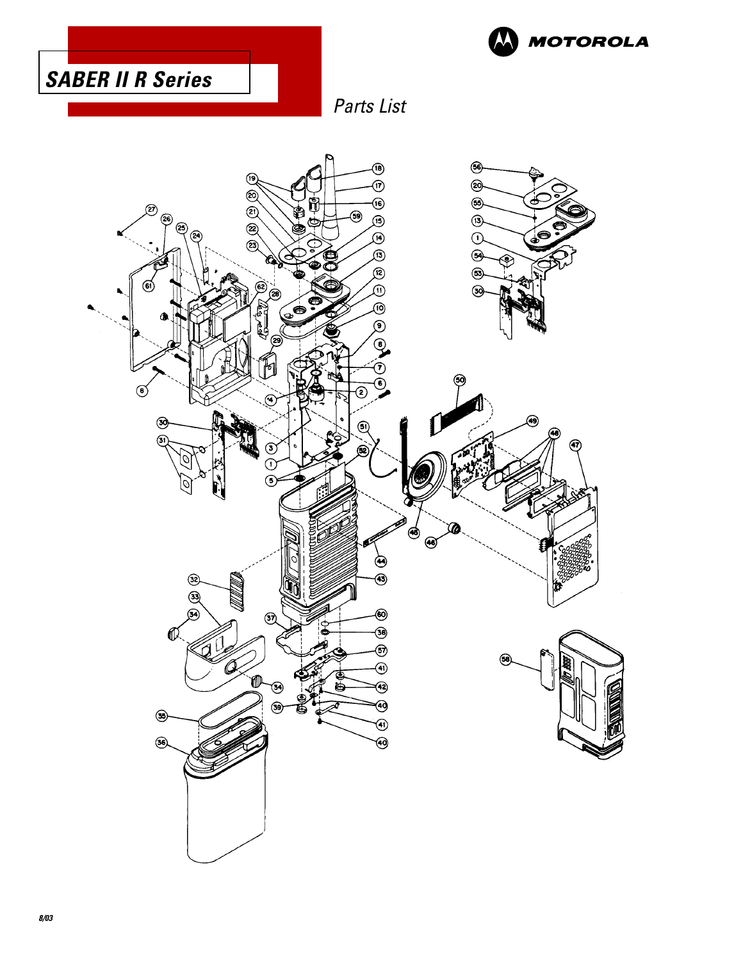



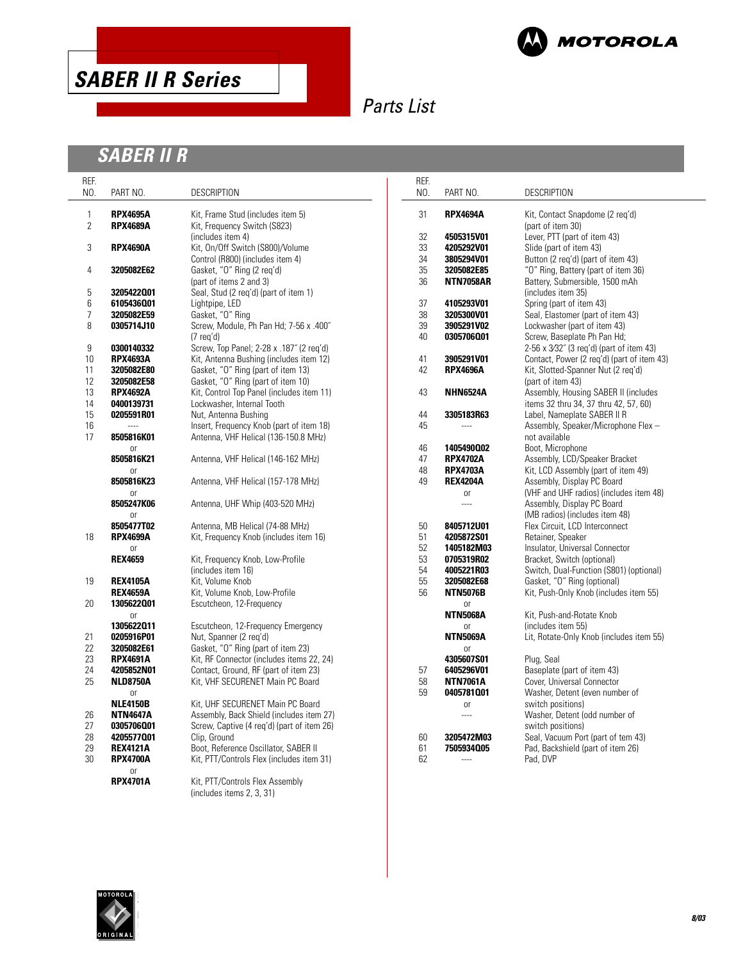



# **SABER II R**

| REF.<br>NO.  | PART NO.         | <b>DESCRIPTION</b>                                           | REF.<br>NO. | PART NO.                    | DESCRIPTION                                                    |
|--------------|------------------|--------------------------------------------------------------|-------------|-----------------------------|----------------------------------------------------------------|
| $\mathbf{1}$ | <b>RPX4695A</b>  | Kit, Frame Stud (includes item 5)                            | 31          | <b>RPX4694A</b>             | Kit, Contact Snapdome (2 req'd)                                |
| 2            | <b>RPX4689A</b>  | Kit, Frequency Switch (S823)                                 |             |                             | (part of item 30)                                              |
|              |                  | (includes item 4)                                            | 32          | 4505315V01                  | Lever, PTT (part of item 43)                                   |
| 3            | <b>RPX4690A</b>  | Kit, On/Off Switch (S800)/Volume                             | 33          | 4205292V01                  | Slide (part of item 43)                                        |
|              |                  | Control (R800) (includes item 4)                             | 34          | 3805294V01                  | Button (2 req'd) (part of item 43)                             |
| 4            | 3205082E62       | Gasket, "O" Ring (2 req'd)                                   | 35          | 3205082E85                  | "O" Ring, Battery (part of item 36)                            |
|              |                  | (part of items 2 and 3)                                      | 36          | <b>NTN7058AR</b>            | Battery, Submersible, 1500 mAh                                 |
| 5            | 3205422001       | Seal, Stud (2 req'd) (part of item 1)                        |             |                             | (includes item 35)                                             |
| 6            | 6105436001       | Lightpipe, LED                                               | 37          | 4105293V01                  | Spring (part of item 43)                                       |
| 7            | 3205082E59       | Gasket, "O" Ring                                             | 38          | 3205300V01                  | Seal, Elastomer (part of item 43)                              |
| 8            | 0305714J10       | Screw, Module, Ph Pan Hd; 7-56 x .400"                       | 39          | 3905291V02                  | Lockwasher (part of item 43)                                   |
|              |                  | $(7 \text{ req'} d)$                                         | 40          | 0305706001                  | Screw, Baseplate Ph Pan Hd;                                    |
| 9            | 0300140332       | Screw, Top Panel; 2-28 x .187" (2 reg'd)                     |             |                             | 2-56 x 3/32" (3 req'd) (part of item 43)                       |
| 10           | <b>RPX4693A</b>  | Kit, Antenna Bushing (includes item 12)                      | 41          | 3905291V01                  | Contact, Power (2 reg'd) (part of item 43)                     |
| 11           | 3205082E80       | Gasket, "O" Ring (part of item 13)                           | 42          | <b>RPX4696A</b>             | Kit, Slotted-Spanner Nut (2 req'd)                             |
| 12           | 3205082E58       | Gasket, "O" Ring (part of item 10)                           |             |                             | (part of item 43)                                              |
| 13           | <b>RPX4692A</b>  | Kit, Control Top Panel (includes item 11)                    | 43          | <b>NHN6524A</b>             | Assembly, Housing SABER II (includes                           |
| 14           | 0400139731       | Lockwasher, Internal Tooth                                   |             |                             | items 32 thru 34, 37 thru 42, 57, 60)                          |
| 15           | 0205591R01       | Nut, Antenna Bushing                                         | 44          | 3305183R63                  | Label, Nameplate SABER II R                                    |
| 16           |                  | Insert, Frequency Knob (part of item 18)                     | 45          | $\overline{\phantom{a}}$    | Assembly, Speaker/Microphone Flex -                            |
| 17           | 8505816K01       | Antenna, VHF Helical (136-150.8 MHz)                         |             |                             | not available                                                  |
|              | 0r               |                                                              | 46          | 1405490002                  | Boot, Microphone                                               |
|              | 8505816K21       | Antenna, VHF Helical (146-162 MHz)                           | 47          | <b>RPX4702A</b>             | Assembly, LCD/Speaker Bracket                                  |
|              | <b>or</b>        |                                                              | 48          | <b>RPX4703A</b>             | Kit, LCD Assembly (part of item 49)                            |
|              | 8505816K23       | Antenna, VHF Helical (157-178 MHz)                           | 49          | <b>REX4204A</b>             | Assembly, Display PC Board                                     |
|              | 0r               |                                                              |             | 0r                          | (VHF and UHF radios) (includes item 48)                        |
|              | 8505247K06       | Antenna, UHF Whip (403-520 MHz)                              |             | $\overline{\phantom{a}}$    | Assembly, Display PC Board                                     |
|              | <sub>or</sub>    |                                                              |             |                             | (MB radios) (includes item 48)                                 |
|              | 8505477T02       | Antenna, MB Helical (74-88 MHz)                              | 50          | 8405712U01                  | Flex Circuit, LCD Interconnect                                 |
| 18           | <b>RPX4699A</b>  | Kit, Frequency Knob (includes item 16)                       | 51          | 4205872S01                  | Retainer, Speaker                                              |
|              | 0r               |                                                              | 52          | 1405182M03                  | Insulator, Universal Connector                                 |
|              | <b>REX4659</b>   | Kit, Frequency Knob, Low-Profile                             | 53          | 0705319R02                  | Bracket, Switch (optional)                                     |
|              |                  | (includes item 16)                                           | 54          | 4005221R03                  | Switch, Dual-Function (S801) (optional)                        |
| 19           | <b>REX4105A</b>  | Kit, Volume Knob                                             | 55          | 3205082E68                  | Gasket, "O" Ring (optional)                                    |
|              | <b>REX4659A</b>  | Kit, Volume Knob, Low-Profile                                | 56          | <b>NTN5076B</b>             | Kit, Push-Only Knob (includes item 55)                         |
| 20           | 1305622001       | Escutcheon, 12-Frequency                                     |             | 0r                          | Kit, Push-and-Rotate Knob                                      |
|              | 0r<br>1305622011 |                                                              |             | <b>NTN5068A</b>             |                                                                |
| 21           | 0205916P01       | Escutcheon, 12-Frequency Emergency<br>Nut, Spanner (2 reg'd) |             | 0r<br><b>NTN5069A</b>       | (includes item 55)<br>Lit, Rotate-Only Knob (includes item 55) |
| 22           | 3205082E61       | Gasket, "O" Ring (part of item 23)                           |             |                             |                                                                |
| 23           | <b>RPX4691A</b>  | Kit, RF Connector (includes items 22, 24)                    |             | <sub>0r</sub><br>4305607S01 | Plug, Seal                                                     |
| 24           | 4205852N01       | Contact, Ground, RF (part of item 23)                        | 57          | 6405296V01                  | Baseplate (part of item 43)                                    |
| 25           | <b>NLD8750A</b>  | Kit, VHF SECURENET Main PC Board                             | 58          | <b>NTN7061A</b>             | Cover, Universal Connector                                     |
|              | <b>or</b>        |                                                              | 59          | 0405781001                  | Washer, Detent (even number of                                 |
|              | <b>NLE4150B</b>  | Kit, UHF SECURENET Main PC Board                             |             | <b>or</b>                   | switch positions)                                              |
| 26           | <b>NTN4647A</b>  | Assembly, Back Shield (includes item 27)                     |             | $\overline{\phantom{a}}$    | Washer, Detent (odd number of                                  |
| 27           | 0305706001       | Screw, Captive (4 reg'd) (part of item 26)                   |             |                             | switch positions)                                              |
| 28           | 4205577001       | Clip, Ground                                                 | 60          | 3205472M03                  | Seal, Vacuum Port (part of tem 43)                             |
| 29           | <b>REX4121A</b>  | Boot, Reference Oscillator, SABER II                         | 61          | 7505934005                  | Pad, Backshield (part of item 26)                              |
| 30           | <b>RPX4700A</b>  | Kit, PTT/Controls Flex (includes item 31)                    | 62          | $\frac{1}{2}$               | Pad, DVP                                                       |
|              | <b>or</b>        |                                                              |             |                             |                                                                |
|              | <b>RPX4701A</b>  | Kit, PTT/Controls Flex Assembly                              |             |                             |                                                                |
|              |                  | (includes items 2, 3, 31)                                    |             |                             |                                                                |

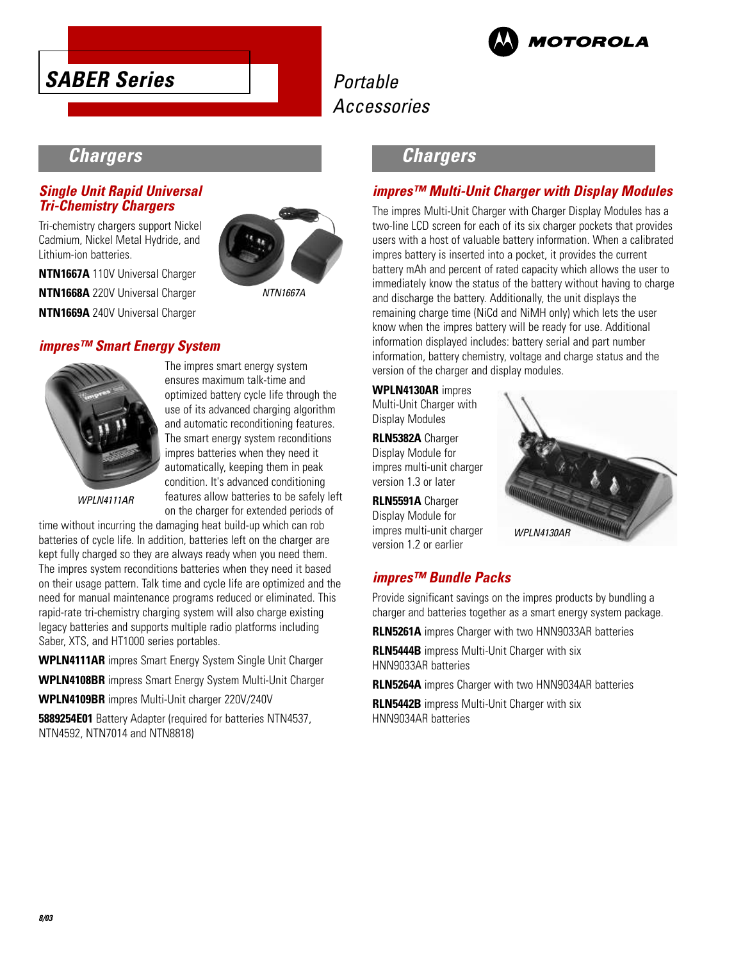



# **Chargers**

### **Single Unit Rapid Universal Tri-Chemistry Chargers**

Tri-chemistry chargers support Nickel Cadmium, Nickel Metal Hydride, and Lithium-ion batteries.

**NTN1667A** 110V Universal Charger **NTN1668A** 220V Universal Charger **NTN1669A** 240V Universal Charger





The impres smart energy system ensures maximum talk-time and optimized battery cycle life through the use of its advanced charging algorithm and automatic reconditioning features. The smart energy system reconditions impres batteries when they need it automatically, keeping them in peak condition. It's advanced conditioning features allow batteries to be safely left on the charger for extended periods of

NTN1667A

WPLN4111AR

time without incurring the damaging heat build-up which can rob batteries of cycle life. In addition, batteries left on the charger are kept fully charged so they are always ready when you need them. The impres system reconditions batteries when they need it based on their usage pattern. Talk time and cycle life are optimized and the need for manual maintenance programs reduced or eliminated. This rapid-rate tri-chemistry charging system will also charge existing legacy batteries and supports multiple radio platforms including Saber, XTS, and HT1000 series portables.

**WPLN4111AR** impres Smart Energy System Single Unit Charger

**WPLN4108BR** impress Smart Energy System Multi-Unit Charger

**WPLN4109BR** impres Multi-Unit charger 220V/240V

**5889254E01** Battery Adapter (required for batteries NTN4537, NTN4592, NTN7014 and NTN8818)

### **Chargers**

### **impres™ Multi-Unit Charger with Display Modules**

The impres Multi-Unit Charger with Charger Display Modules has a two-line LCD screen for each of its six charger pockets that provides users with a host of valuable battery information. When a calibrated impres battery is inserted into a pocket, it provides the current battery mAh and percent of rated capacity which allows the user to immediately know the status of the battery without having to charge and discharge the battery. Additionally, the unit displays the remaining charge time (NiCd and NiMH only) which lets the user know when the impres battery will be ready for use. Additional information displayed includes: battery serial and part number information, battery chemistry, voltage and charge status and the version of the charger and display modules.

**WPLN4130AR** impres Multi-Unit Charger with Display Modules

**RLN5382A** Charger Display Module for impres multi-unit charger version 1.3 or later

**RLN5591A** Charger Display Module for impres multi-unit charger version 1.2 or earlier



### **impres™ Bundle Packs**

Provide significant savings on the impres products by bundling a charger and batteries together as a smart energy system package.

**RLN5261A** impres Charger with two HNN9033AR batteries

**RLN5444B** impress Multi-Unit Charger with six HNN9033AR batteries

**RLN5264A** impres Charger with two HNN9034AR batteries

**RLN5442B** impress Multi-Unit Charger with six HNN9034AR batteries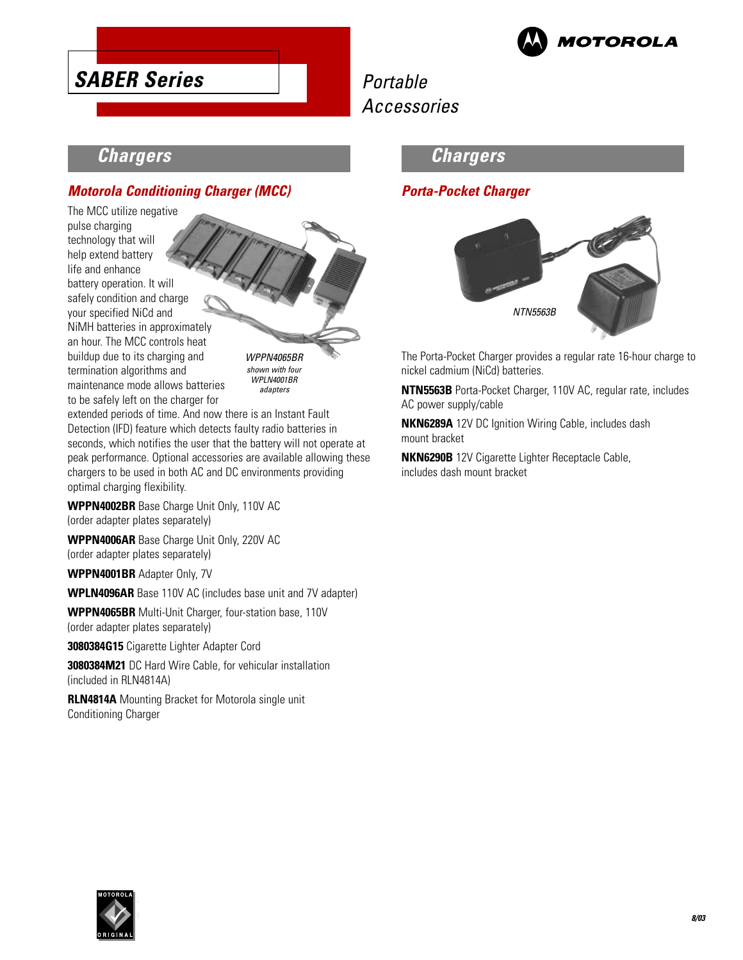

# **Chargers**

**SABER Series**

### **Motorola Conditioning Charger (MCC)**

The MCC utilize negative pulse charging technology that will help extend battery life and enhance battery operation. It will safely condition and charge your specified NiCd and NiMH batteries in approximately an hour. The MCC controls heat buildup due to its charging and termination algorithms and maintenance mode allows batteries to be safely left on the charger for

WPPN4065BR shown with four WPLN4001BR adapters

extended periods of time. And now there is an Instant Fault Detection (IFD) feature which detects faulty radio batteries in seconds, which notifies the user that the battery will not operate at peak performance. Optional accessories are available allowing these chargers to be used in both AC and DC environments providing optimal charging flexibility.

**WPPN4002BR** Base Charge Unit Only, 110V AC (order adapter plates separately)

**WPPN4006AR** Base Charge Unit Only, 220V AC (order adapter plates separately)

**WPPN4001BR** Adapter Only, 7V

**WPLN4096AR** Base 110V AC (includes base unit and 7V adapter)

**WPPN4065BR** Multi-Unit Charger, four-station base, 110V (order adapter plates separately)

**3080384G15** Cigarette Lighter Adapter Cord

**3080384M21** DC Hard Wire Cable, for vehicular installation (included in RLN4814A)

**RLN4814A** Mounting Bracket for Motorola single unit Conditioning Charger

# **Chargers**

### **Porta-Pocket Charger**



The Porta-Pocket Charger provides a regular rate 16-hour charge to nickel cadmium (NiCd) batteries.

**NTN5563B** Porta-Pocket Charger, 110V AC, regular rate, includes AC power supply/cable

**NKN6289A** 12V DC Ignition Wiring Cable, includes dash mount bracket

**NKN6290B** 12V Cigarette Lighter Receptacle Cable, includes dash mount bracket

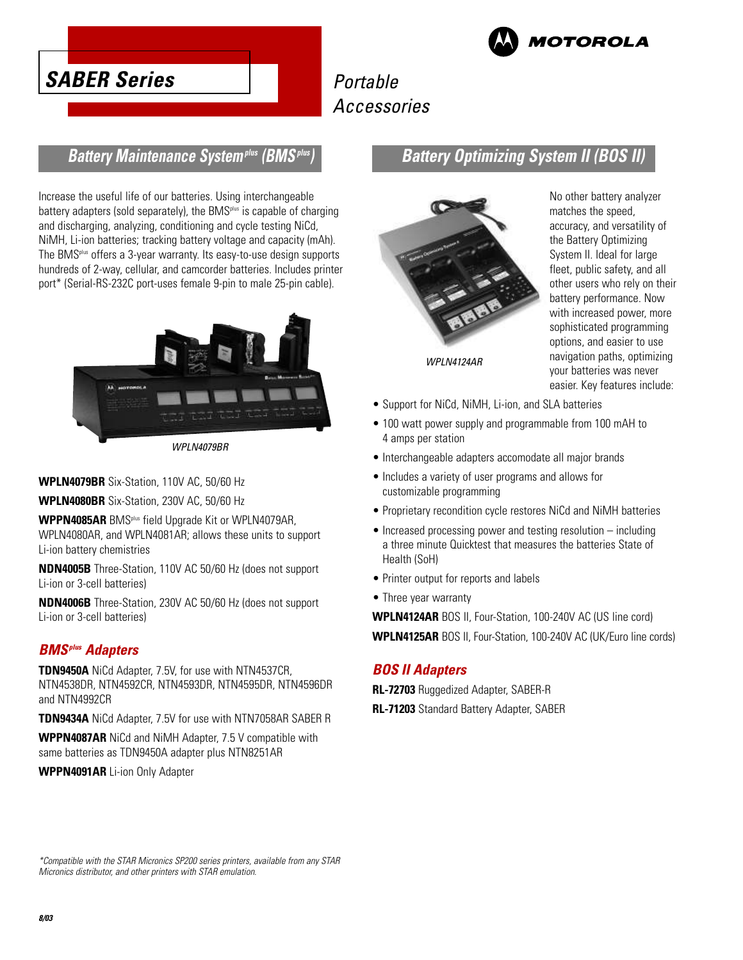

*IOTOROLA* 

### **Battery Maintenance Systemplus (BMSplus)**

Increase the useful life of our batteries. Using interchangeable battery adapters (sold separately), the BMS $p$ lus is capable of charging and discharging, analyzing, conditioning and cycle testing NiCd, NiMH, Li-ion batteries; tracking battery voltage and capacity (mAh). The BMSplus offers a 3-year warranty. Its easy-to-use design supports hundreds of 2-way, cellular, and camcorder batteries. Includes printer port\* (Serial-RS-232C port-uses female 9-pin to male 25-pin cable).



WPLN4079BR

**WPLN4079BR** Six-Station, 110V AC, 50/60 Hz

**WPLN4080BR** Six-Station, 230V AC, 50/60 Hz

**WPPN4085AR** BMSplus field Upgrade Kit or WPLN4079AR, WPLN4080AR, and WPLN4081AR; allows these units to support Li-ion battery chemistries

**NDN4005B** Three-Station, 110V AC 50/60 Hz (does not support Li-ion or 3-cell batteries)

**NDN4006B** Three-Station, 230V AC 50/60 Hz (does not support Li-ion or 3-cell batteries)

### **BMSplus Adapters**

**TDN9450A** NiCd Adapter, 7.5V, for use with NTN4537CR, NTN4538DR, NTN4592CR, NTN4593DR, NTN4595DR, NTN4596DR and NTN4992CR

**TDN9434A** NiCd Adapter, 7.5V for use with NTN7058AR SABER R

**WPPN4087AR** NiCd and NiMH Adapter, 7.5 V compatible with same batteries as TDN9450A adapter plus NTN8251AR

**WPPN4091AR** Li-ion Only Adapter

# **Battery Optimizing System II (BOS II)**



No other battery analyzer matches the speed, accuracy, and versatility of the Battery Optimizing System II. Ideal for large fleet, public safety, and all other users who rely on their battery performance. Now with increased power, more sophisticated programming options, and easier to use navigation paths, optimizing your batteries was never easier. Key features include:

- Support for NiCd, NiMH, Li-ion, and SLA batteries
- 100 watt power supply and programmable from 100 mAH to 4 amps per station
- Interchangeable adapters accomodate all major brands
- Includes a variety of user programs and allows for customizable programming
- Proprietary recondition cycle restores NiCd and NiMH batteries
- Increased processing power and testing resolution including a three minute Quicktest that measures the batteries State of Health (SoH)
- Printer output for reports and labels
- Three year warranty

**WPLN4124AR** BOS II, Four-Station, 100-240V AC (US line cord) **WPLN4125AR** BOS II, Four-Station, 100-240V AC (UK/Euro line cords)

### **BOS II Adapters**

**RL-72703** Ruggedized Adapter, SABER-R

**RL-71203** Standard Battery Adapter, SABER

\*Compatible with the STAR Micronics SP200 series printers, available from any STAR Micronics distributor, and other printers with STAR emulation.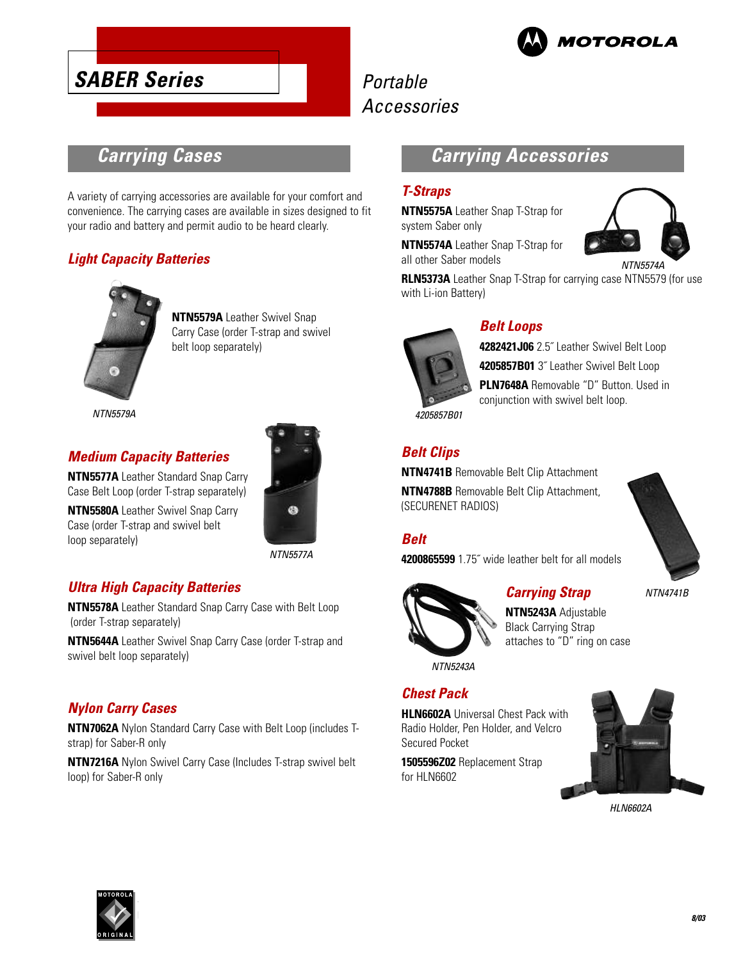

# **SABER Series**

# Portable Accessories

# **Carrying Cases**

A variety of carrying accessories are available for your comfort and convenience. The carrying cases are available in sizes designed to fit your radio and battery and permit audio to be heard clearly.

### **Light Capacity Batteries**



**NTN5579A** Leather Swivel Snap Carry Case (order T-strap and swivel belt loop separately)

NTN5579A

### **Medium Capacity Batteries**

**NTN5577A** Leather Standard Snap Carry Case Belt Loop (order T-strap separately)

**NTN5580A** Leather Swivel Snap Carry Case (order T-strap and swivel belt loop separately)



NTN5577A

### **Ultra High Capacity Batteries**

**NTN5578A** Leather Standard Snap Carry Case with Belt Loop (order T-strap separately)

**NTN5644A** Leather Swivel Snap Carry Case (order T-strap and swivel belt loop separately)

### **Nylon Carry Cases**

**NTN7062A** Nylon Standard Carry Case with Belt Loop (includes Tstrap) for Saber-R only

**NTN7216A** Nylon Swivel Carry Case (Includes T-strap swivel belt loop) for Saber-R only

# **Carrying Accessories**

### **T-Straps**

**NTN5575A** Leather Snap T-Strap for system Saber only

**NTN5574A** Leather Snap T-Strap for all other Saber models



**RLN5373A** Leather Snap T-Strap for carrying case NTN5579 (for use with Li-ion Battery)



### **Belt Loops**

**4282421J06** 2.5˝ Leather Swivel Belt Loop **4205857B01** 3˝ Leather Swivel Belt Loop **PLN7648A** Removable "D" Button. Used in conjunction with swivel belt loop.

4205857B01

**Belt Clips**

**NTN4741B** Removable Belt Clip Attachment **NTN4788B** Removable Belt Clip Attachment, (SECURENET RADIOS)

### **Belt**

**4200865599** 1.75˝ wide leather belt for all models



### **Carrying Strap**



**NTN5243A** Adjustable Black Carrying Strap attaches to "D" ring on case

NTN5243A

### **Chest Pack**

**HLN6602A** Universal Chest Pack with Radio Holder, Pen Holder, and Velcro Secured Pocket

**1505596Z02** Replacement Strap for HLN6602



HLN6602A

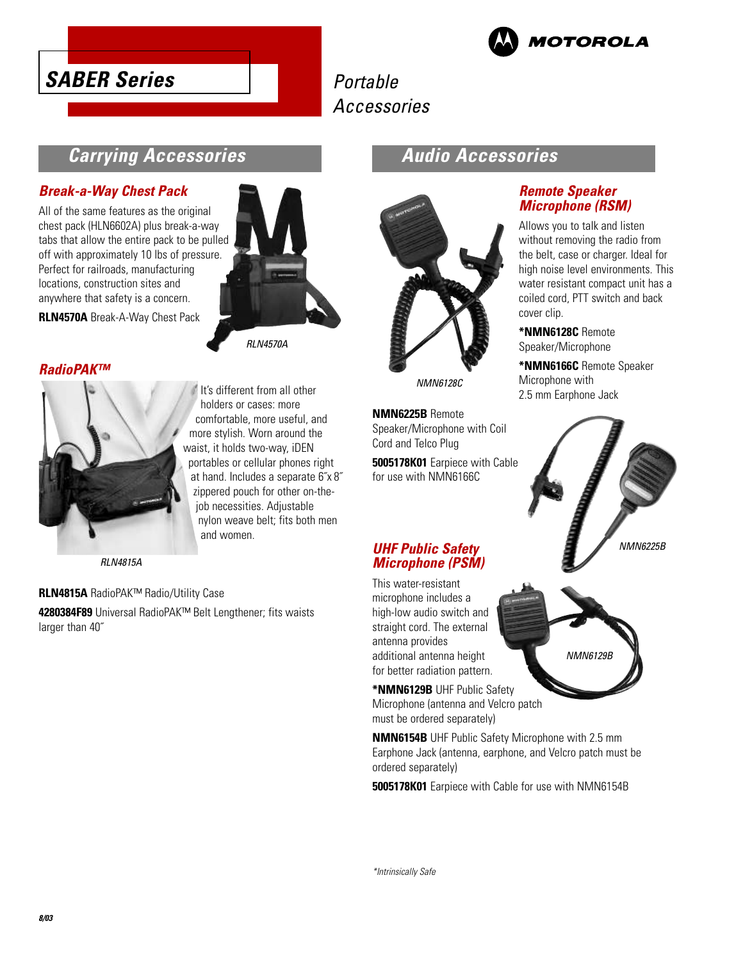



# **Carrying Accessories**

### **Break-a-Way Chest Pack**

All of the same features as the original chest pack (HLN6602A) plus break-a-way tabs that allow the entire pack to be pulled off with approximately 10 lbs of pressure. Perfect for railroads, manufacturing locations, construction sites and anywhere that safety is a concern.

**RLN4570A** Break-A-Way Chest Pack

### **RadioPAK™**



It's different from all other holders or cases: more comfortable, more useful, and more stylish. Worn around the waist, it holds two-way, iDEN portables or cellular phones right at hand. Includes a separate 6˝x 8˝ zippered pouch for other on-thejob necessities. Adjustable nylon weave belt; fits both men and women.

**RI N4570A** 

RLN4815A

**RLN4815A** RadioPAK™ Radio/Utility Case

**4280384F89** Universal RadioPAK™ Belt Lengthener; fits waists larger than 40˝

### **Audio Accessories**



NMN6128C

**NMN6225B** Remote Speaker/Microphone with Coil Cord and Telco Plug

**5005178K01** Earpiece with Cable for use with NMN6166C

### **UHF Public Safety Microphone (PSM)**

This water-resistant microphone includes a high-low audio switch and straight cord. The external antenna provides additional antenna height for better radiation pattern.

**\*NMN6129B** UHF Public Safety Microphone (antenna and Velcro patch must be ordered separately)

**NMN6154B** UHF Public Safety Microphone with 2.5 mm Earphone Jack (antenna, earphone, and Velcro patch must be ordered separately)

**5005178K01** Earpiece with Cable for use with NMN6154B

### **Remote Speaker Microphone (RSM)**

Allows you to talk and listen without removing the radio from the belt, case or charger. Ideal for high noise level environments. This water resistant compact unit has a coiled cord, PTT switch and back cover clip.

**\*NMN6128C** Remote Speaker/Microphone

**\*NMN6166C** Remote Speaker Microphone with 2.5 mm Earphone Jack



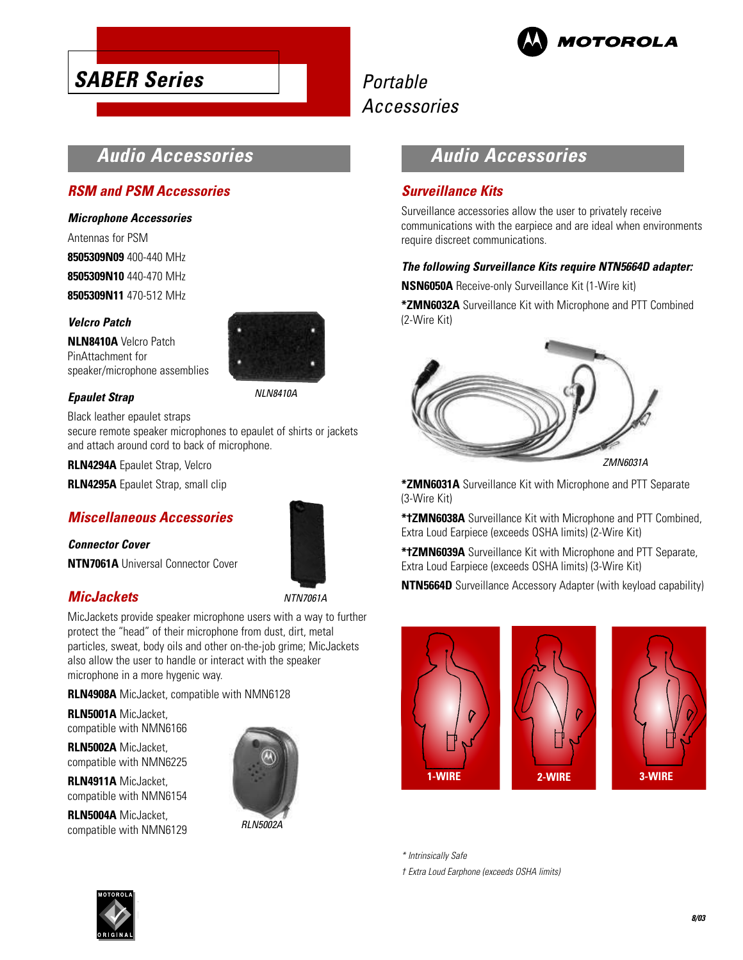

# **Audio Accessories**

### **RSM and PSM Accessories**

**SABER Series**

### **Microphone Accessories**

Antennas for PSM **8505309N09** 400-440 MHz **8505309N10** 440-470 MHz **8505309N11** 470-512 MHz

### **Velcro Patch**

**NLN8410A** Velcro Patch PinAttachment for speaker/microphone assemblies



NLN8410A

### **Epaulet Strap**

Black leather epaulet straps

secure remote speaker microphones to epaulet of shirts or jackets and attach around cord to back of microphone.

### **RLN4294A** Epaulet Strap, Velcro

**RLN4295A** Epaulet Strap, small clip

### **Miscellaneous Accessories**

### **Connector Cover**

**NTN7061A** Universal Connector Cover

### **MicJackets**

NTN7061A

MicJackets provide speaker microphone users with a way to further protect the "head" of their microphone from dust, dirt, metal particles, sweat, body oils and other on-the-job grime; MicJackets also allow the user to handle or interact with the speaker microphone in a more hygenic way.

**RLN4908A** MicJacket, compatible with NMN6128

**RLN5001A** MicJacket, compatible with NMN6166

**RLN5002A** MicJacket, compatible with NMN6225

**RLN4911A** MicJacket, compatible with NMN6154

**RLN5004A** MicJacket, compatible with NMN6129



### **Audio Accessories**

### **Surveillance Kits**

Surveillance accessories allow the user to privately receive communications with the earpiece and are ideal when environments require discreet communications.

### **The following Surveillance Kits require NTN5664D adapter:**

**NSN6050A** Receive-only Surveillance Kit (1-Wire kit)

**\*ZMN6032A** Surveillance Kit with Microphone and PTT Combined (2-Wire Kit)



ZMN6031A

**\*ZMN6031A** Surveillance Kit with Microphone and PTT Separate (3-Wire Kit)

**\*†ZMN6038A** Surveillance Kit with Microphone and PTT Combined, Extra Loud Earpiece (exceeds OSHA limits) (2-Wire Kit)

**\*†ZMN6039A** Surveillance Kit with Microphone and PTT Separate, Extra Loud Earpiece (exceeds OSHA limits) (3-Wire Kit)

**NTN5664D** Surveillance Accessory Adapter (with keyload capability)



\* Intrinsically Safe

† Extra Loud Earphone (exceeds OSHA limits)

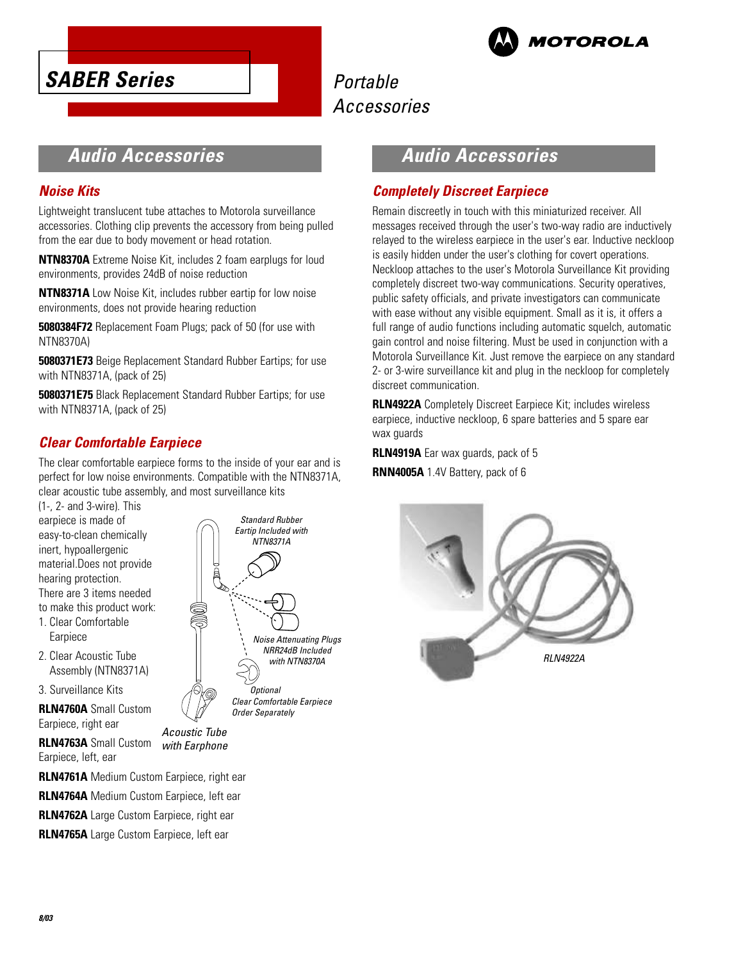



# **Audio Accessories**

### **Noise Kits**

Lightweight translucent tube attaches to Motorola surveillance accessories. Clothing clip prevents the accessory from being pulled from the ear due to body movement or head rotation.

**NTN8370A** Extreme Noise Kit, includes 2 foam earplugs for loud environments, provides 24dB of noise reduction

**NTN8371A** Low Noise Kit, includes rubber eartip for low noise environments, does not provide hearing reduction

**5080384F72** Replacement Foam Plugs; pack of 50 (for use with NTN8370A)

**5080371E73** Beige Replacement Standard Rubber Eartips; for use with NTN8371A, (pack of 25)

**5080371E75** Black Replacement Standard Rubber Eartips; for use with NTN8371A, (pack of 25)

### **Clear Comfortable Earpiece**

The clear comfortable earpiece forms to the inside of your ear and is perfect for low noise environments. Compatible with the NTN8371A, clear acoustic tube assembly, and most surveillance kits

(1-, 2- and 3-wire). This earpiece is made of easy-to-clean chemically inert, hypoallergenic material.Does not provide hearing protection. There are 3 items needed to make this product work: 1. Clear Comfortable

- Earpiece
- 2. Clear Acoustic Tube Assembly (NTN8371A)

3. Surveillance Kits

**RLN4760A** Small Custom Earpiece, right ear

**RLN4763A** Small Custom Earpiece, left, ear

Acoustic Tube\* with Earphone

**RLN4761A** Medium Custom Earpiece, right ear

**RLN4764A** Medium Custom Earpiece, left ear

**RLN4762A** Large Custom Earpiece, right ear

**RLN4765A** Large Custom Earpiece, left ear



# **Audio Accessories**

### **Completely Discreet Earpiece**

Remain discreetly in touch with this miniaturized receiver. All messages received through the user's two-way radio are inductively relayed to the wireless earpiece in the user's ear. Inductive neckloop is easily hidden under the user's clothing for covert operations. Neckloop attaches to the user's Motorola Surveillance Kit providing completely discreet two-way communications. Security operatives, public safety officials, and private investigators can communicate with ease without any visible equipment. Small as it is, it offers a full range of audio functions including automatic squelch, automatic gain control and noise filtering. Must be used in conjunction with a Motorola Surveillance Kit. Just remove the earpiece on any standard 2- or 3-wire surveillance kit and plug in the neckloop for completely discreet communication.

**RLN4922A** Completely Discreet Earpiece Kit; includes wireless earpiece, inductive neckloop, 6 spare batteries and 5 spare ear wax guards

**RLN4919A** Ear wax guards, pack of 5

**RNN4005A** 1.4V Battery, pack of 6

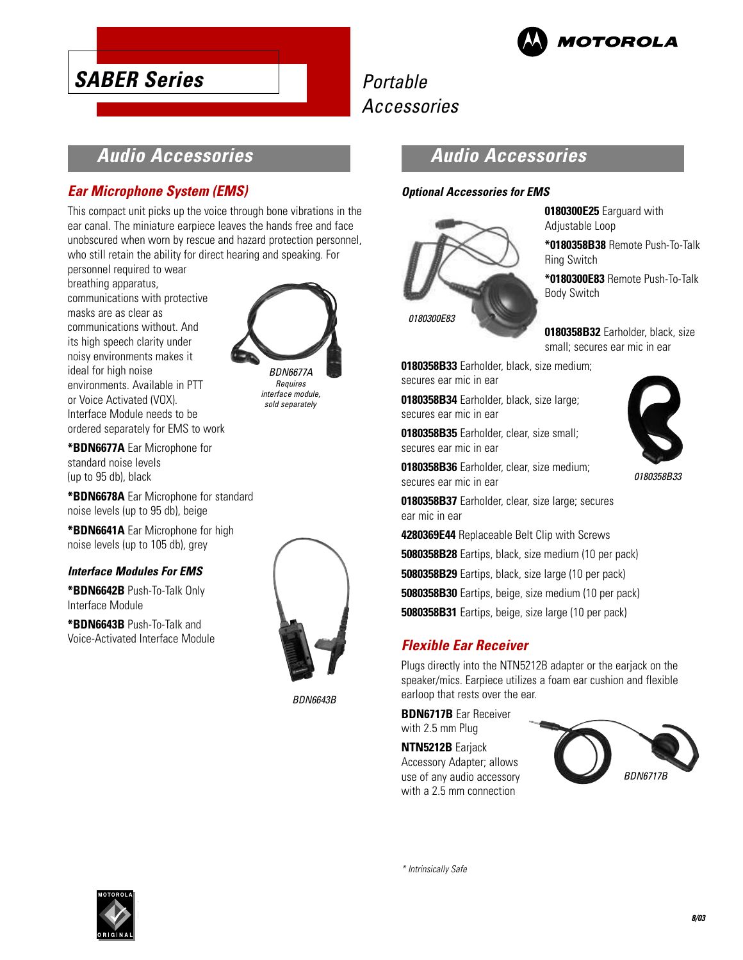

**0180300E25** Earguard with

**\*0180358B38** Remote Push-To-Talk

**\*0180300E83** Remote Push-To-Talk

**0180358B32** Earholder, black, size small; secures ear mic in ear

Adjustable Loop

Ring Switch

Body Switch

# Portable Accessories

# **Audio Accessories**

### **Ear Microphone System (EMS)**

**SABER Series**

This compact unit picks up the voice through bone vibrations in the ear canal. The miniature earpiece leaves the hands free and face unobscured when worn by rescue and hazard protection personnel, who still retain the ability for direct hearing and speaking. For

personnel required to wear breathing apparatus, communications with protective masks are as clear as communications without. And its high speech clarity under noisy environments makes it ideal for high noise environments. Available in PTT or Voice Activated (VOX). Interface Module needs to be ordered separately for EMS to work



Requires interface module, sold separately

**\*BDN6677A** Ear Microphone for standard noise levels (up to 95 db), black

**\*BDN6678A** Ear Microphone for standard noise levels (up to 95 db), beige

**\*BDN6641A** Ear Microphone for high noise levels (up to 105 db), grey

### **Interface Modules For EMS**

**\*BDN6642B** Push-To-Talk Only Interface Module

**\*BDN6643B** Push-To-Talk and Voice-Activated Interface Module



BDN6643B

### **Audio Accessories**

### **Optional Accessories for EMS**



**0180358B33** Earholder, black, size medium; secures ear mic in ear

**0180358B34** Earholder, black, size large; secures ear mic in ear

**0180358B35** Earholder, clear, size small; secures ear mic in ear

**0180358B36** Earholder, clear, size medium; secures ear mic in ear



0180358B33

**0180358B37** Earholder, clear, size large; secures ear mic in ear

**4280369E44** Replaceable Belt Clip with Screws

**5080358B28** Eartips, black, size medium (10 per pack)

**5080358B29** Eartips, black, size large (10 per pack)

**5080358B30** Eartips, beige, size medium (10 per pack)

**5080358B31** Eartips, beige, size large (10 per pack)

### **Flexible Ear Receiver**

Plugs directly into the NTN5212B adapter or the earjack on the speaker/mics. Earpiece utilizes a foam ear cushion and flexible earloop that rests over the ear.

**BDN6717B** Ear Receiver with 2.5 mm Plug

**NTN5212B** Earjack Accessory Adapter; allows use of any audio accessory with a 2.5 mm connection



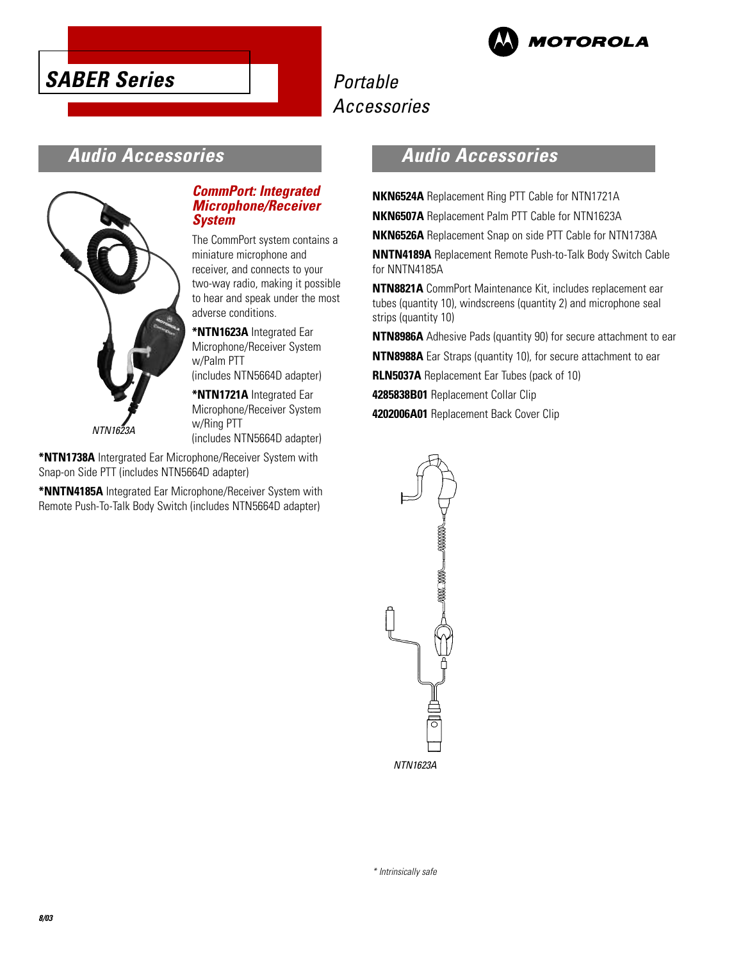



# **Audio Accessories**



**CommPort: Integrated Microphone/Receiver System**

The CommPort system contains a miniature microphone and receiver, and connects to your two-way radio, making it possible to hear and speak under the most adverse conditions.

**\*NTN1623A** Integrated Ear Microphone/Receiver System w/Palm PTT (includes NTN5664D adapter)

**\*NTN1721A** Integrated Ear Microphone/Receiver System w/Ring PTT (includes NTN5664D adapter)

**\*NTN1738A** Intergrated Ear Microphone/Receiver System with Snap-on Side PTT (includes NTN5664D adapter)

**\*NNTN4185A** Integrated Ear Microphone/Receiver System with Remote Push-To-Talk Body Switch (includes NTN5664D adapter)

# **Audio Accessories**

**NKN6524A** Replacement Ring PTT Cable for NTN1721A **NKN6507A** Replacement Palm PTT Cable for NTN1623A

**NKN6526A** Replacement Snap on side PTT Cable for NTN1738A

**NNTN4189A** Replacement Remote Push-to-Talk Body Switch Cable for NNTN4185A

**NTN8821A** CommPort Maintenance Kit, includes replacement ear tubes (quantity 10), windscreens (quantity 2) and microphone seal strips (quantity 10)

**NTN8986A** Adhesive Pads (quantity 90) for secure attachment to ear

**NTN8988A** Ear Straps (quantity 10), for secure attachment to ear

**RLN5037A** Replacement Ear Tubes (pack of 10)

**4285838B01** Replacement Collar Clip

**4202006A01** Replacement Back Cover Clip

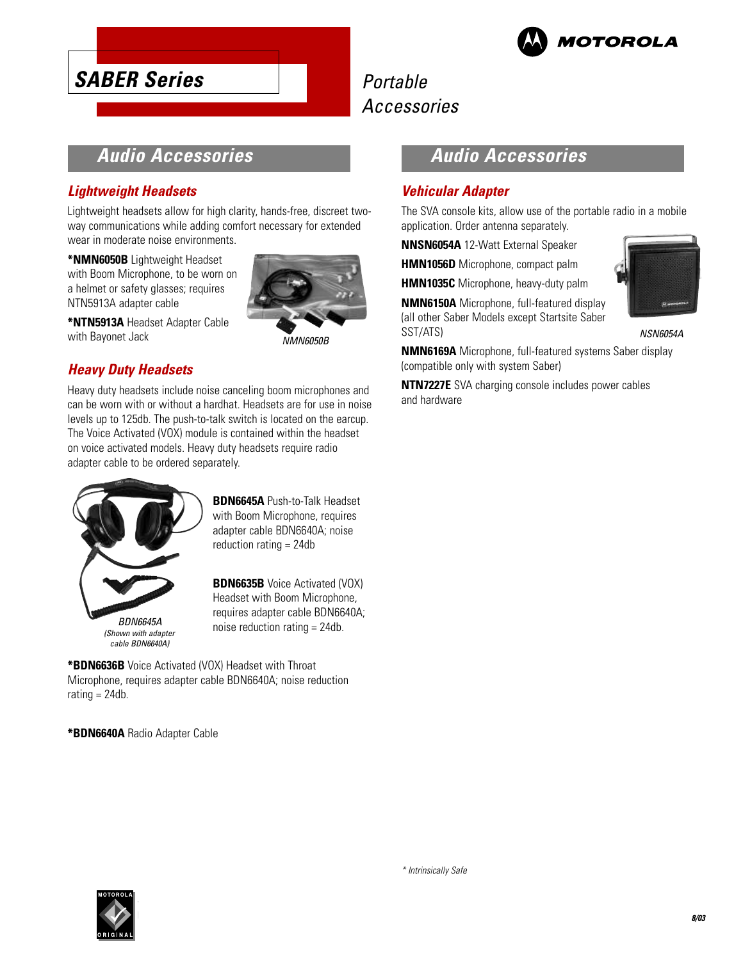

# **Audio Accessories**

### **Lightweight Headsets**

**SABER Series**

Lightweight headsets allow for high clarity, hands-free, discreet twoway communications while adding comfort necessary for extended wear in moderate noise environments.

**\*NMN6050B** Lightweight Headset with Boom Microphone, to be worn on a helmet or safety glasses; requires NTN5913A adapter cable



**\*NTN5913A** Headset Adapter Cable with Bayonet Jack

NMN6050B

### **Heavy Duty Headsets**

Heavy duty headsets include noise canceling boom microphones and can be worn with or without a hardhat. Headsets are for use in noise levels up to 125db. The push-to-talk switch is located on the earcup. The Voice Activated (VOX) module is contained within the headset on voice activated models. Heavy duty headsets require radio adapter cable to be ordered separately.



**BDN6645A** Push-to-Talk Headset with Boom Microphone, requires adapter cable BDN6640A; noise reduction rating = 24db

**BDN6635B** Voice Activated (VOX) Headset with Boom Microphone, requires adapter cable BDN6640A; noise reduction rating = 24db.

**\*BDN6636B** Voice Activated (VOX) Headset with Throat Microphone, requires adapter cable BDN6640A; noise reduction rating  $= 24db$ .

**\*BDN6640A** Radio Adapter Cable

# **Audio Accessories**

### **Vehicular Adapter**

The SVA console kits, allow use of the portable radio in a mobile application. Order antenna separately.

**NNSN6054A** 12-Watt External Speaker

**HMN1056D** Microphone, compact palm

**HMN1035C** Microphone, heavy-duty palm

**NMN6150A** Microphone, full-featured display (all other Saber Models except Startsite Saber SST/ATS)



NSN6054A

**NMN6169A** Microphone, full-featured systems Saber display (compatible only with system Saber)

**NTN7227E** SVA charging console includes power cables and hardware

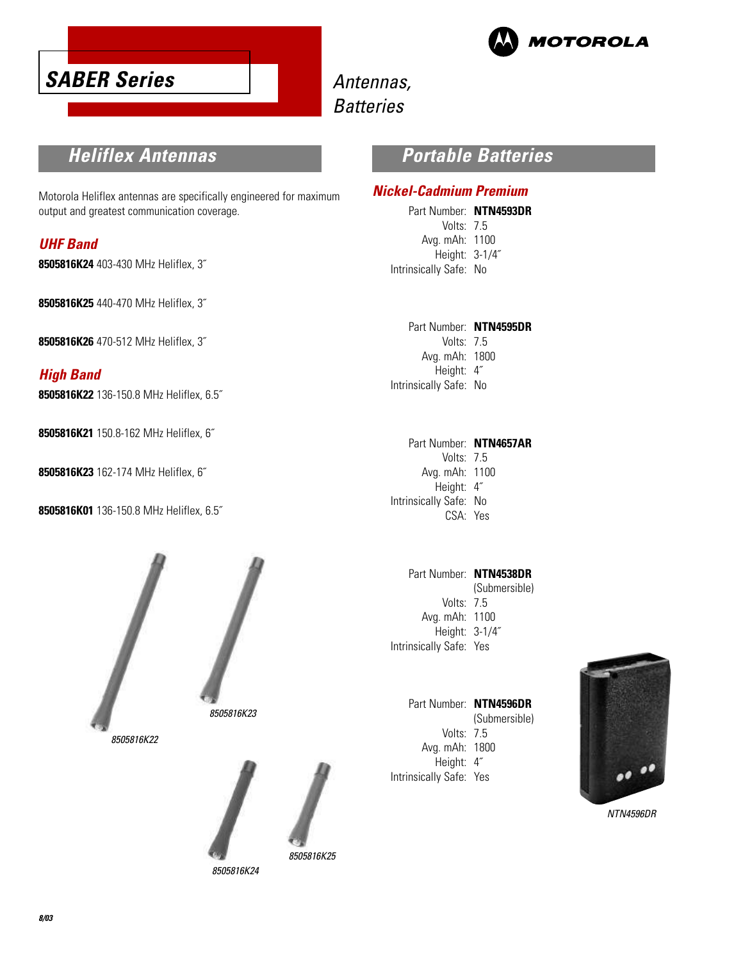



# Antennas, **Batteries**

## **Heliflex Antennas**

Motorola Heliflex antennas are specifically engineered for maximum output and greatest communication coverage.

### **UHF Band**

**8505816K24** 403-430 MHz Heliflex, 3˝

**8505816K25** 440-470 MHz Heliflex, 3˝

**8505816K26** 470-512 MHz Heliflex, 3˝

### **High Band**

**8505816K22** 136-150.8 MHz Heliflex, 6.5˝

**8505816K21** 150.8-162 MHz Heliflex, 6˝

**8505816K23** 162-174 MHz Heliflex, 6˝

**8505816K01** 136-150.8 MHz Heliflex, 6.5˝





8505816K24

# **Portable Batteries**

### **Nickel-Cadmium Premium**

Part Number: **NTN4593DR** Volts: 7.5 Avg. mAh: 1100 Height: 3-1/4˝ Intrinsically Safe: No

Part Number: **NTN4595DR** Volts: 7.5 Avg. mAh: 1800 Height: 4˝ Intrinsically Safe: No

Part Number: **NTN4657AR** Volts: 7.5 Avg. mAh: 1100 Height: 4˝ Intrinsically Safe: No CSA: Yes

Part Number: **NTN4538DR** (Submersible) Volts: 7.5 Avg. mAh: 1100 Height: 3-1/4˝ Intrinsically Safe: Yes

Part Number: **NTN4596DR** (Submersible) Volts: 7.5 Avg. mAh: 1800 Height: 4˝ Intrinsically Safe: Yes



NTN4596DR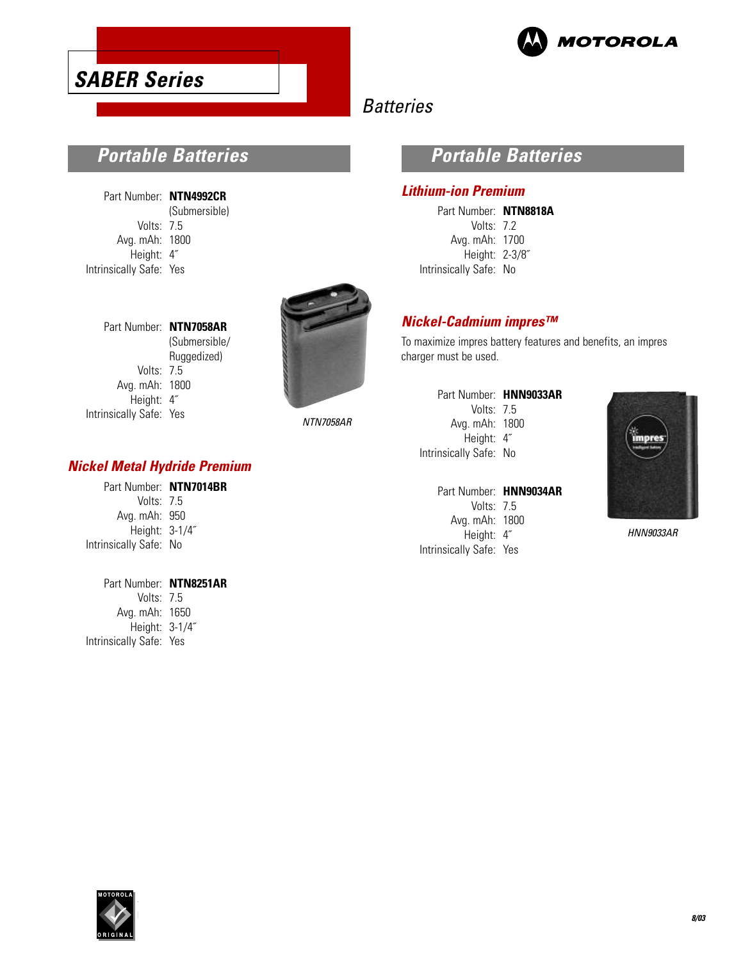



# **Batteries**

# **Portable Batteries**

| Part Number: NTN4992CR  |               |
|-------------------------|---------------|
|                         | (Submersible) |
| Volts: 7.5              |               |
| Avg. mAh: 1800          |               |
| Height: 4"              |               |
| Intrinsically Safe: Yes |               |

Part Number: **NTN7058AR**

Volts: 7.5 Avg. mAh: 1800 Height: 4˝ Intrinsically Safe: Yes

(Submersible/ Ruggedized)

NTN7058AR

### **Nickel Metal Hydride Premium**

Part Number: **NTN7014BR** Volts: 7.5 Avg. mAh: 950 Height: 3-1/4˝ Intrinsically Safe: No

Part Number: **NTN8251AR** Volts: 7.5 Avg. mAh: 1650 Height: 3-1/4˝ Intrinsically Safe: Yes

### **Portable Batteries**

### **Lithium-ion Premium**

Part Number: **NTN8818A** Volts: 7.2 Avg. mAh: 1700 Height: 2-3/8˝ Intrinsically Safe: No

### **Nickel-Cadmium impres™**

To maximize impres battery features and benefits, an impres charger must be used.

|                        | Part Number: HNN9033AR |
|------------------------|------------------------|
| Volts: $75$            |                        |
| Avg. mAh: 1800         |                        |
| Height: 4"             |                        |
| Intrinsically Safe: No |                        |
|                        |                        |

|                         | Part Number: HNN9034AR |
|-------------------------|------------------------|
| Volts: 75               |                        |
| Avg. mAh: 1800          |                        |
| Height: 4"              |                        |
| Intrinsically Safe: Yes |                        |



HNN9033AR

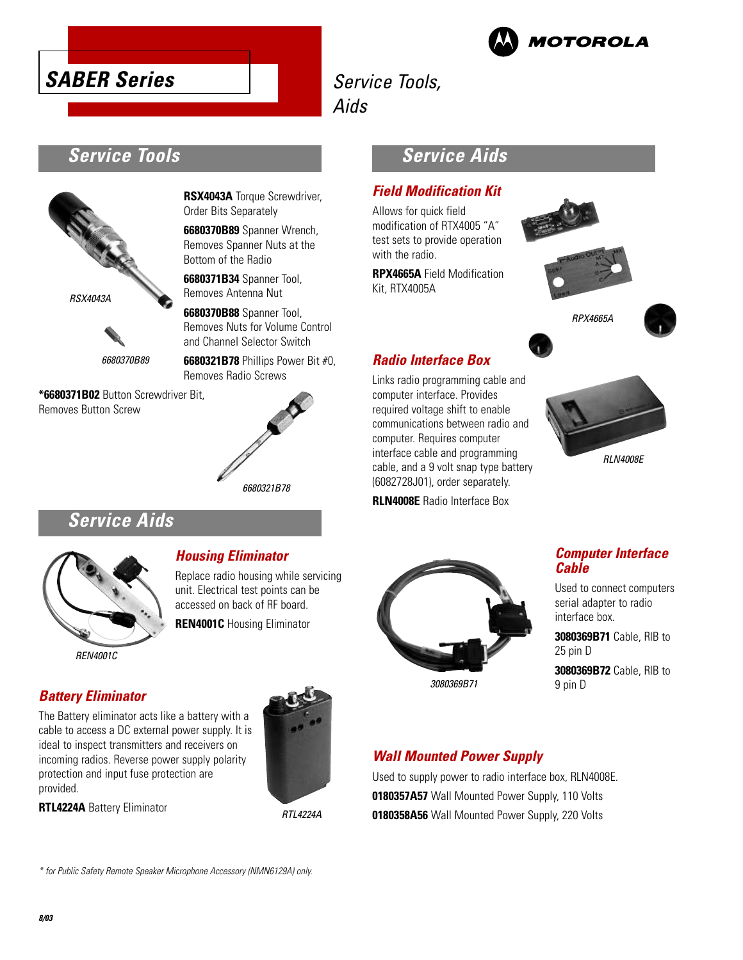



# Service Tools,

Aids

# **Service Tools**



6680370B89

**\*6680371B02** Button Screwdriver Bit, Removes Button Screw

**RSX4043A** Torque Screwdriver, Order Bits Separately

**6680370B89** Spanner Wrench, Removes Spanner Nuts at the Bottom of the Radio

**6680371B34** Spanner Tool, Removes Antenna Nut

**6680370B88** Spanner Tool, Removes Nuts for Volume Control and Channel Selector Switch

**6680321B78** Phillips Power Bit #0, Removes Radio Screws

# 6680321B78

# **Service Aids**



REN4001C

### **Housing Eliminator**

Replace radio housing while servicing unit. Electrical test points can be accessed on back of RF board.

**REN4001C** Housing Eliminator

### **Battery Eliminator**

The Battery eliminator acts like a battery with a cable to access a DC external power supply. It is ideal to inspect transmitters and receivers on incoming radios. Reverse power supply polarity protection and input fuse protection are provided.

**RTL4224A** Battery Eliminator



RTL4224A

# **Service Aids**

### **Field Modification Kit**

Allows for quick field modification of RTX4005 "A" test sets to provide operation with the radio.

**RPX4665A** Field Modification Kit, RTX4005A







### **Radio Interface Box**

Links radio programming cable and computer interface. Provides required voltage shift to enable communications between radio and computer. Requires computer interface cable and programming cable, and a 9 volt snap type battery (6082728J01), order separately.

**RLN4008E** Radio Interface Box





3080369B71

### **Computer Interface Cable**

Used to connect computers serial adapter to radio interface box.

**3080369B71** Cable, RIB to 25 pin D

**3080369B72** Cable, RIB to 9 pin D

# **Wall Mounted Power Supply**

Used to supply power to radio interface box, RLN4008E. **0180357A57** Wall Mounted Power Supply, 110 Volts **0180358A56** Wall Mounted Power Supply, 220 Volts

\* for Public Safety Remote Speaker Microphone Accessory (NMN6129A) only.